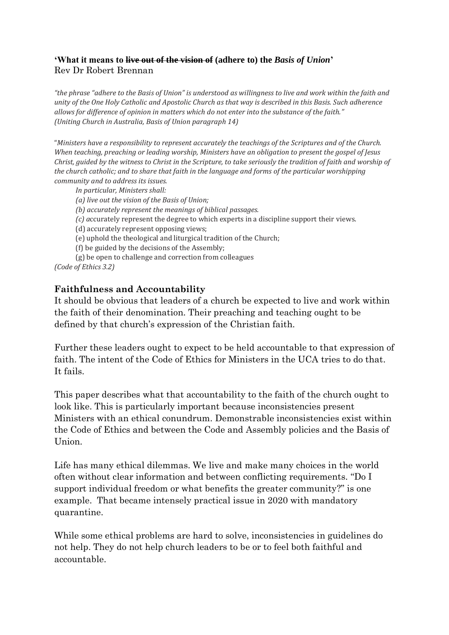### **'What it means to live out of the vision of (adhere to) the** *Basis of Union***'** Rev Dr Robert Brennan

*"the phrase "adhere to the Basis of Union" is understood as willingness to live and work within the faith and unity of the One Holy Catholic and Apostolic Church as that way is described in this Basis. Such adherence allows for difference of opinion in matters which do not enter into the substance of the faith." (Uniting Church in Australia, Basis of Union paragraph 14)*

"*Ministers have a responsibility to represent accurately the teachings of the Scriptures and of the Church. When teaching, preaching or leading worship, Ministers have an obligation to present the gospel of Jesus Christ, guided by the witness to Christ in the Scripture, to take seriously the tradition of faith and worship of the church catholic; and to share that faith in the language and forms of the particular worshipping community and to address its issues.*

*In particular, Ministers shall:*

- *(a) live out the vision of the Basis of Union;*
- *(b) accurately represent the meanings of biblical passages.*
- *(c) a*ccurately represent the degree to which experts in a discipline support their views.
- (d) accurately represent opposing views;
- (e) uphold the theological and liturgical tradition of the Church;
- (f) be guided by the decisions of the Assembly;

(g) be open to challenge and correction from colleagues *(Code of Ethics 3.2)*

### **Faithfulness and Accountability**

It should be obvious that leaders of a church be expected to live and work within the faith of their denomination. Their preaching and teaching ought to be defined by that church's expression of the Christian faith.

Further these leaders ought to expect to be held accountable to that expression of faith. The intent of the Code of Ethics for Ministers in the UCA tries to do that. It fails.

This paper describes what that accountability to the faith of the church ought to look like. This is particularly important because inconsistencies present Ministers with an ethical conundrum. Demonstrable inconsistencies exist within the Code of Ethics and between the Code and Assembly policies and the Basis of Union.

Life has many ethical dilemmas. We live and make many choices in the world often without clear information and between conflicting requirements. "Do I support individual freedom or what benefits the greater community?" is one example. That became intensely practical issue in 2020 with mandatory quarantine.

While some ethical problems are hard to solve, inconsistencies in guidelines do not help. They do not help church leaders to be or to feel both faithful and accountable.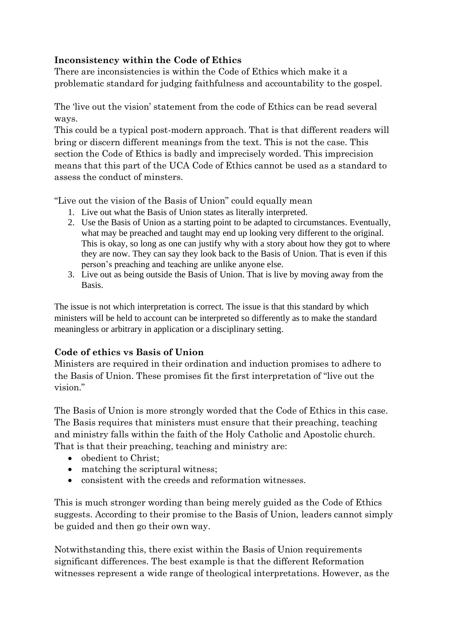# **Inconsistency within the Code of Ethics**

There are inconsistencies is within the Code of Ethics which make it a problematic standard for judging faithfulness and accountability to the gospel.

The 'live out the vision' statement from the code of Ethics can be read several ways.

This could be a typical post-modern approach. That is that different readers will bring or discern different meanings from the text. This is not the case. This section the Code of Ethics is badly and imprecisely worded. This imprecision means that this part of the UCA Code of Ethics cannot be used as a standard to assess the conduct of minsters.

"Live out the vision of the Basis of Union" could equally mean

- 1. Live out what the Basis of Union states as literally interpreted.
- 2. Use the Basis of Union as a starting point to be adapted to circumstances. Eventually, what may be preached and taught may end up looking very different to the original. This is okay, so long as one can justify why with a story about how they got to where they are now. They can say they look back to the Basis of Union. That is even if this person's preaching and teaching are unlike anyone else.
- 3. Live out as being outside the Basis of Union. That is live by moving away from the Basis.

The issue is not which interpretation is correct. The issue is that this standard by which ministers will be held to account can be interpreted so differently as to make the standard meaningless or arbitrary in application or a disciplinary setting.

## **Code of ethics vs Basis of Union**

Ministers are required in their ordination and induction promises to adhere to the Basis of Union. These promises fit the first interpretation of "live out the vision."

The Basis of Union is more strongly worded that the Code of Ethics in this case. The Basis requires that ministers must ensure that their preaching, teaching and ministry falls within the faith of the Holy Catholic and Apostolic church. That is that their preaching, teaching and ministry are:

- obedient to Christ:
- matching the scriptural witness:
- consistent with the creeds and reformation witnesses.

This is much stronger wording than being merely guided as the Code of Ethics suggests. According to their promise to the Basis of Union, leaders cannot simply be guided and then go their own way.

Notwithstanding this, there exist within the Basis of Union requirements significant differences. The best example is that the different Reformation witnesses represent a wide range of theological interpretations. However, as the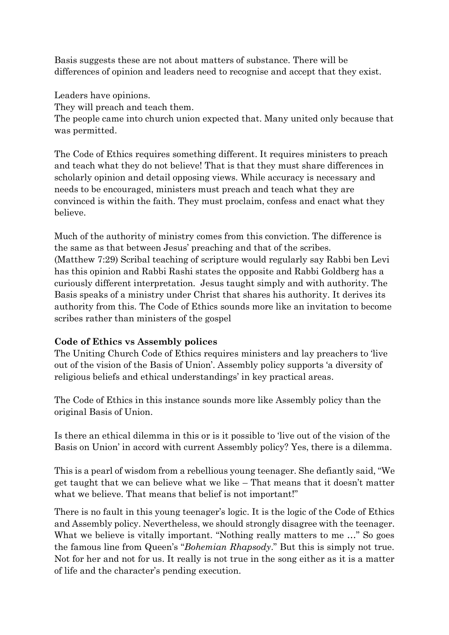Basis suggests these are not about matters of substance. There will be differences of opinion and leaders need to recognise and accept that they exist.

Leaders have opinions.

They will preach and teach them.

The people came into church union expected that. Many united only because that was permitted.

The Code of Ethics requires something different. It requires ministers to preach and teach what they do not believe! That is that they must share differences in scholarly opinion and detail opposing views. While accuracy is necessary and needs to be encouraged, ministers must preach and teach what they are convinced is within the faith. They must proclaim, confess and enact what they believe.

Much of the authority of ministry comes from this conviction. The difference is the same as that between Jesus' preaching and that of the scribes. (Matthew 7:29) Scribal teaching of scripture would regularly say Rabbi ben Levi has this opinion and Rabbi Rashi states the opposite and Rabbi Goldberg has a curiously different interpretation. Jesus taught simply and with authority. The Basis speaks of a ministry under Christ that shares his authority. It derives its authority from this. The Code of Ethics sounds more like an invitation to become scribes rather than ministers of the gospel

### **Code of Ethics vs Assembly polices**

The Uniting Church Code of Ethics requires ministers and lay preachers to 'live out of the vision of the Basis of Union'. Assembly policy supports 'a diversity of religious beliefs and ethical understandings' in key practical areas.

The Code of Ethics in this instance sounds more like Assembly policy than the original Basis of Union.

Is there an ethical dilemma in this or is it possible to 'live out of the vision of the Basis on Union' in accord with current Assembly policy? Yes, there is a dilemma.

This is a pearl of wisdom from a rebellious young teenager. She defiantly said, "We get taught that we can believe what we like – That means that it doesn't matter what we believe. That means that belief is not important!"

There is no fault in this young teenager's logic. It is the logic of the Code of Ethics and Assembly policy. Nevertheless, we should strongly disagree with the teenager. What we believe is vitally important. "Nothing really matters to me ..." So goes the famous line from Queen's "*Bohemian Rhapsody*." But this is simply not true. Not for her and not for us. It really is not true in the song either as it is a matter of life and the character's pending execution.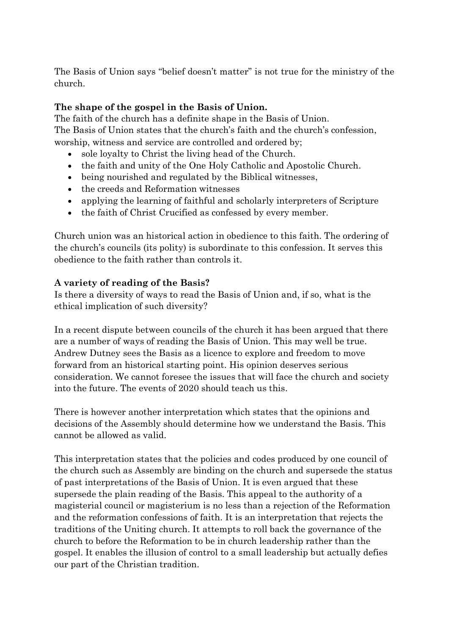The Basis of Union says "belief doesn't matter" is not true for the ministry of the church.

# **The shape of the gospel in the Basis of Union.**

The faith of the church has a definite shape in the Basis of Union. The Basis of Union states that the church's faith and the church's confession, worship, witness and service are controlled and ordered by;

- sole loyalty to Christ the living head of the Church.
- the faith and unity of the One Holy Catholic and Apostolic Church.
- being nourished and regulated by the Biblical witnesses,
- the creeds and Reformation witnesses
- applying the learning of faithful and scholarly interpreters of Scripture
- the faith of Christ Crucified as confessed by every member.

Church union was an historical action in obedience to this faith. The ordering of the church's councils (its polity) is subordinate to this confession. It serves this obedience to the faith rather than controls it.

### **A variety of reading of the Basis?**

Is there a diversity of ways to read the Basis of Union and, if so, what is the ethical implication of such diversity?

In a recent dispute between councils of the church it has been argued that there are a number of ways of reading the Basis of Union. This may well be true. Andrew Dutney sees the Basis as a licence to explore and freedom to move forward from an historical starting point. His opinion deserves serious consideration. We cannot foresee the issues that will face the church and society into the future. The events of 2020 should teach us this.

There is however another interpretation which states that the opinions and decisions of the Assembly should determine how we understand the Basis. This cannot be allowed as valid.

This interpretation states that the policies and codes produced by one council of the church such as Assembly are binding on the church and supersede the status of past interpretations of the Basis of Union. It is even argued that these supersede the plain reading of the Basis. This appeal to the authority of a magisterial council or magisterium is no less than a rejection of the Reformation and the reformation confessions of faith. It is an interpretation that rejects the traditions of the Uniting church. It attempts to roll back the governance of the church to before the Reformation to be in church leadership rather than the gospel. It enables the illusion of control to a small leadership but actually defies our part of the Christian tradition.